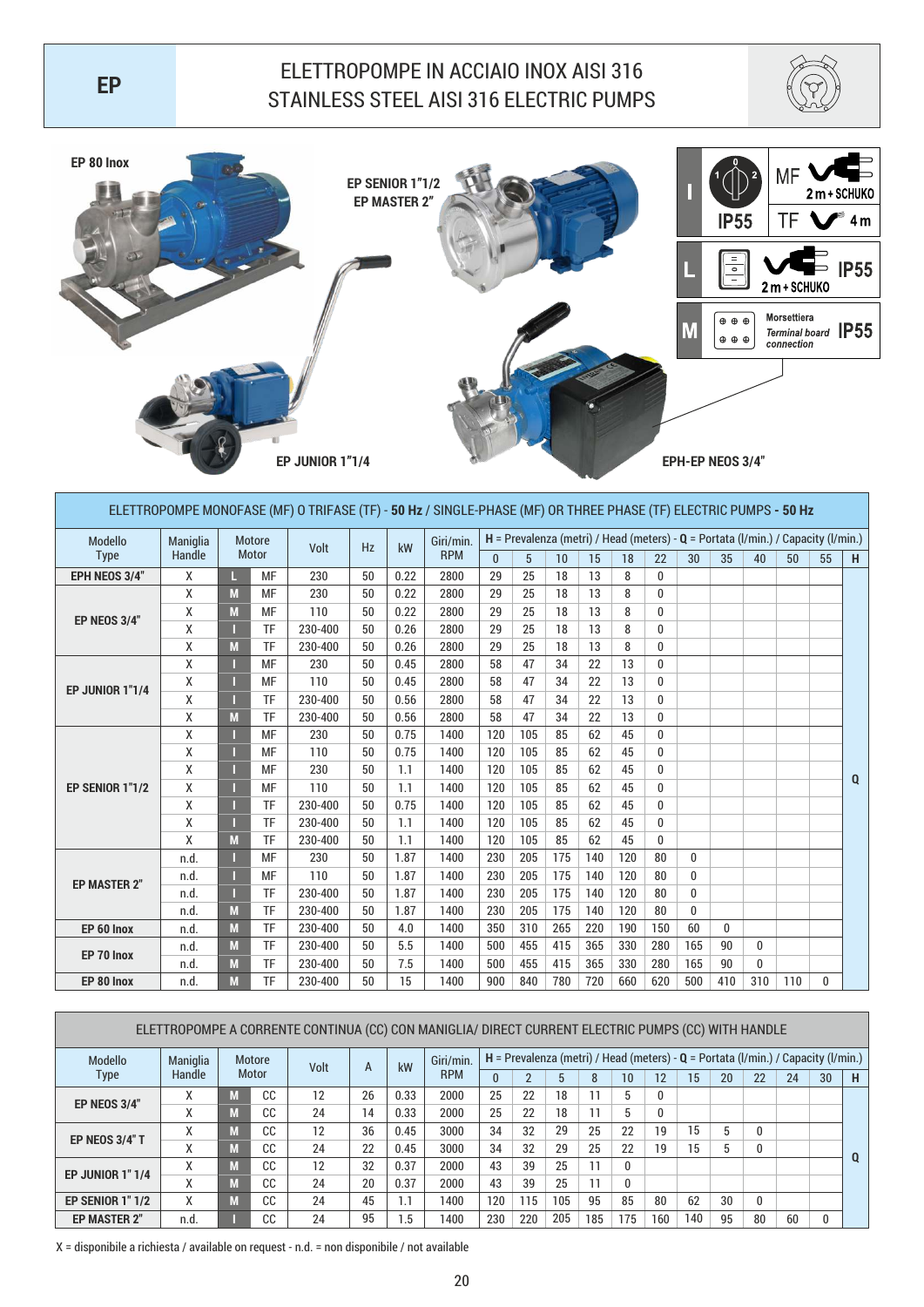## ELETTROPOMPE IN ACCIAIO INOX AISI 316 ER<br>STAINLESS STEEL AISI 316 ELECTRIC PUMPS





| ELETTROPOMPE MONOFASE (MF) O TRIFASE (TF) - 50 Hz / SINGLE-PHASE (MF) OR THREE PHASE (TF) ELECTRIC PUMPS - 50 Hz<br>$H = Prevalenza$ (metri) / Head (meters) - $Q = Portata$ (I/min.) / Capacity (I/min.) |          |                           |           |         |              |      |            |          |     |     |     |     |              |              |              |          |     |    |          |
|-----------------------------------------------------------------------------------------------------------------------------------------------------------------------------------------------------------|----------|---------------------------|-----------|---------|--------------|------|------------|----------|-----|-----|-----|-----|--------------|--------------|--------------|----------|-----|----|----------|
| Modello                                                                                                                                                                                                   | Maniglia | Motore<br>Handle<br>Motor |           | Volt    | <b>Hz</b>    | kW   | Giri/min.  |          |     |     |     |     |              |              |              |          |     |    |          |
| <b>Type</b>                                                                                                                                                                                               |          |                           |           |         |              |      | <b>RPM</b> | $\theta$ | 5   | 10  | 15  | 18  | 22           | 30           | 35           | 40       | 50  | 55 | H        |
| EPH NEOS 3/4"                                                                                                                                                                                             | Χ        |                           | <b>MF</b> | 230     | 50           | 0.22 | 2800       | 29       | 25  | 18  | 13  | 8   | 0            |              |              |          |     |    |          |
| <b>EP NEOS 3/4"</b>                                                                                                                                                                                       | X        | M                         | <b>MF</b> | 230     | 50           | 0.22 | 2800       | 29       | 25  | 18  | 13  | 8   | 0            |              |              |          |     |    |          |
|                                                                                                                                                                                                           | χ        | M                         | <b>MF</b> | 110     | 50           | 0.22 | 2800       | 29       | 25  | 18  | 13  | 8   | $\mathbf{0}$ |              |              |          |     |    |          |
|                                                                                                                                                                                                           | χ        |                           | TF        | 230-400 | 50           | 0.26 | 2800       | 29       | 25  | 18  | 13  | 8   | 0            |              |              |          |     |    |          |
|                                                                                                                                                                                                           | χ        | M                         | <b>TF</b> | 230-400 | 50           | 0.26 | 2800       | 29       | 25  | 18  | 13  | 8   | $\bf{0}$     |              |              |          |     |    |          |
| <b>EP JUNIOR 1"1/4</b>                                                                                                                                                                                    | Χ        |                           | <b>MF</b> | 230     | 50           | 0.45 | 2800       | 58       | 47  | 34  | 22  | 13  | $\bf{0}$     |              |              |          |     |    |          |
|                                                                                                                                                                                                           | χ        |                           | <b>MF</b> | 110     | 50           | 0.45 | 2800       | 58       | 47  | 34  | 22  | 13  | $\bf{0}$     |              |              |          |     |    |          |
|                                                                                                                                                                                                           | χ        |                           | TF        | 230-400 | 50           | 0.56 | 2800       | 58       | 47  | 34  | 22  | 13  | 0            |              |              |          |     |    |          |
|                                                                                                                                                                                                           | χ        | M                         | TF        | 230-400 | 50           | 0.56 | 2800       | 58       | 47  | 34  | 22  | 13  | $\bf{0}$     |              |              |          |     |    |          |
|                                                                                                                                                                                                           | χ        |                           | <b>MF</b> | 230     | 50           | 0.75 | 1400       | 120      | 105 | 85  | 62  | 45  | 0            |              |              |          |     |    |          |
|                                                                                                                                                                                                           | χ        |                           | <b>MF</b> | 110     | 50           | 0.75 | 1400       | 120      | 105 | 85  | 62  | 45  | $\mathbf{0}$ |              |              |          |     |    |          |
|                                                                                                                                                                                                           | χ        |                           | <b>MF</b> | 230     | 50           | 1.1  | 1400       | 120      | 105 | 85  | 62  | 45  | $\bf{0}$     |              |              |          |     |    | $\Omega$ |
| <b>EP SENIOR 1"1/2</b>                                                                                                                                                                                    | χ        |                           | <b>MF</b> | 110     | 50           | 1.1  | 1400       | 120      | 105 | 85  | 62  | 45  | 0            |              |              |          |     |    |          |
|                                                                                                                                                                                                           | X        |                           | <b>TF</b> | 230-400 | 50           | 0.75 | 1400       | 120      | 105 | 85  | 62  | 45  | $\bf{0}$     |              |              |          |     |    |          |
|                                                                                                                                                                                                           | χ        |                           | <b>TF</b> | 230-400 | 50           | 1.1  | 1400       | 120      | 105 | 85  | 62  | 45  | 0            |              |              |          |     |    |          |
|                                                                                                                                                                                                           | χ        | M                         | TF        | 230-400 | 50           | 1.1  | 1400       | 120      | 105 | 85  | 62  | 45  | $\mathbf{0}$ |              |              |          |     |    |          |
|                                                                                                                                                                                                           | n.d.     |                           | <b>MF</b> | 230     | 50           | 1.87 | 1400       | 230      | 205 | 175 | 140 | 120 | 80           | $\Omega$     |              |          |     |    |          |
| <b>EP MASTER 2"</b>                                                                                                                                                                                       | n.d.     |                           | <b>MF</b> | 110     | 50           | 1.87 | 1400       | 230      | 205 | 175 | 140 | 120 | 80           | $\mathbf{0}$ |              |          |     |    |          |
|                                                                                                                                                                                                           | n.d.     |                           | <b>TF</b> | 230-400 | $50^{\circ}$ | 1.87 | 1400       | 230      | 205 | 175 | 140 | 120 | 80           | $\Omega$     |              |          |     |    |          |
|                                                                                                                                                                                                           | n.d.     | M                         | TF        | 230-400 | 50           | 1.87 | 1400       | 230      | 205 | 175 | 140 | 120 | 80           | 0            |              |          |     |    |          |
| EP 60 Inox                                                                                                                                                                                                | n.d.     | M                         | <b>TF</b> | 230-400 | 50           | 4.0  | 1400       | 350      | 310 | 265 | 220 | 190 | 150          | 60           | $\mathbf{0}$ |          |     |    |          |
| EP 70 Inox                                                                                                                                                                                                | n.d.     | M                         | TF        | 230-400 | 50           | 5.5  | 1400       | 500      | 455 | 415 | 365 | 330 | 280          | 165          | 90           | 0        |     |    |          |
|                                                                                                                                                                                                           | n.d.     | M                         | TF        | 230-400 | 50           | 7.5  | 1400       | 500      | 455 | 415 | 365 | 330 | 280          | 165          | 90           | $\Omega$ |     |    |          |
| EP 80 Inox                                                                                                                                                                                                | n.d.     | M                         | <b>TF</b> | 230-400 | 50           | 15   | 1400       | 900      | 840 | 780 | 720 | 660 | 620          | 500          | 410          | 310      | 110 | 0  |          |

|                         |          |        |       | ELETTROPOMPE A CORRENTE CONTINUA (CC) CON MANIGLIA/ DIRECT CURRENT ELECTRIC PUMPS (CC) WITH HANDLE |    |      |            |                                                                                       |     |     |     |          |          |     |    |          |    |    |   |  |  |
|-------------------------|----------|--------|-------|----------------------------------------------------------------------------------------------------|----|------|------------|---------------------------------------------------------------------------------------|-----|-----|-----|----------|----------|-----|----|----------|----|----|---|--|--|
| Modello                 | Maniglia | Motore |       | Volt                                                                                               | A  | kW   | Giri/min.  | $H$ = Prevalenza (metri) / Head (meters) - $Q$ = Portata (l/min.) / Capacity (l/min.) |     |     |     |          |          |     |    |          |    |    |   |  |  |
| <b>Type</b>             | Handle   |        | Motor |                                                                                                    |    |      | <b>RPM</b> | 0                                                                                     |     |     | 8   | 10       | 12       | 15  | 20 | 22       | 24 | 30 | H |  |  |
| <b>EP NEOS 3/4"</b>     | Χ        | M      | cc    | 12                                                                                                 | 26 | 0.33 | 2000       | 25                                                                                    | 22  | 18  | 11  | 5        | $\bf{0}$ |     |    |          |    |    |   |  |  |
|                         | X        | M      | СC    | 24                                                                                                 | 14 | 0.33 | 2000       | 25                                                                                    | 22  | 18  |     | 5        | $\bf{0}$ |     |    |          |    |    |   |  |  |
| <b>EP NEOS 3/4" T</b>   | X        | M      | CC    | 12                                                                                                 | 36 | 0.45 | 3000       | 34                                                                                    | 32  | 29  | 25  | 22       | 19       | 15  | 5  | $\Omega$ |    |    |   |  |  |
|                         | X        | M      | CC    | 24                                                                                                 | 22 | 0.45 | 3000       | 34                                                                                    | 32  | 29  | 25  | 22       | 19       | 15  | 5  | $\Omega$ |    |    | Q |  |  |
| <b>EP JUNIOR 1" 1/4</b> | Χ        | M      | CC.   | 12                                                                                                 | 32 | 0.37 | 2000       | 43                                                                                    | 39  | 25  | 11  | $\Omega$ |          |     |    |          |    |    |   |  |  |
|                         | X        | M      | CC.   | 24                                                                                                 | 20 | 0.37 | 2000       | 43                                                                                    | 39  | 25  |     | $\Omega$ |          |     |    |          |    |    |   |  |  |
| <b>EP SENIOR 1" 1/2</b> | X        | M      | CC.   | 24                                                                                                 | 45 | 1.1  | 1400       | 120                                                                                   | 115 | 105 | 95  | 85       | 80       | 62  | 30 | $\Omega$ |    |    |   |  |  |
| <b>EP MASTER 2"</b>     | n.d.     |        | СC    | 24                                                                                                 | 95 | 1.5  | 1400       | 230                                                                                   | 220 | 205 | 185 | 175      | 160      | 140 | 95 | 80       | 60 |    |   |  |  |

X = disponibile a richiesta / available on request - n.d. = non disponibile / not available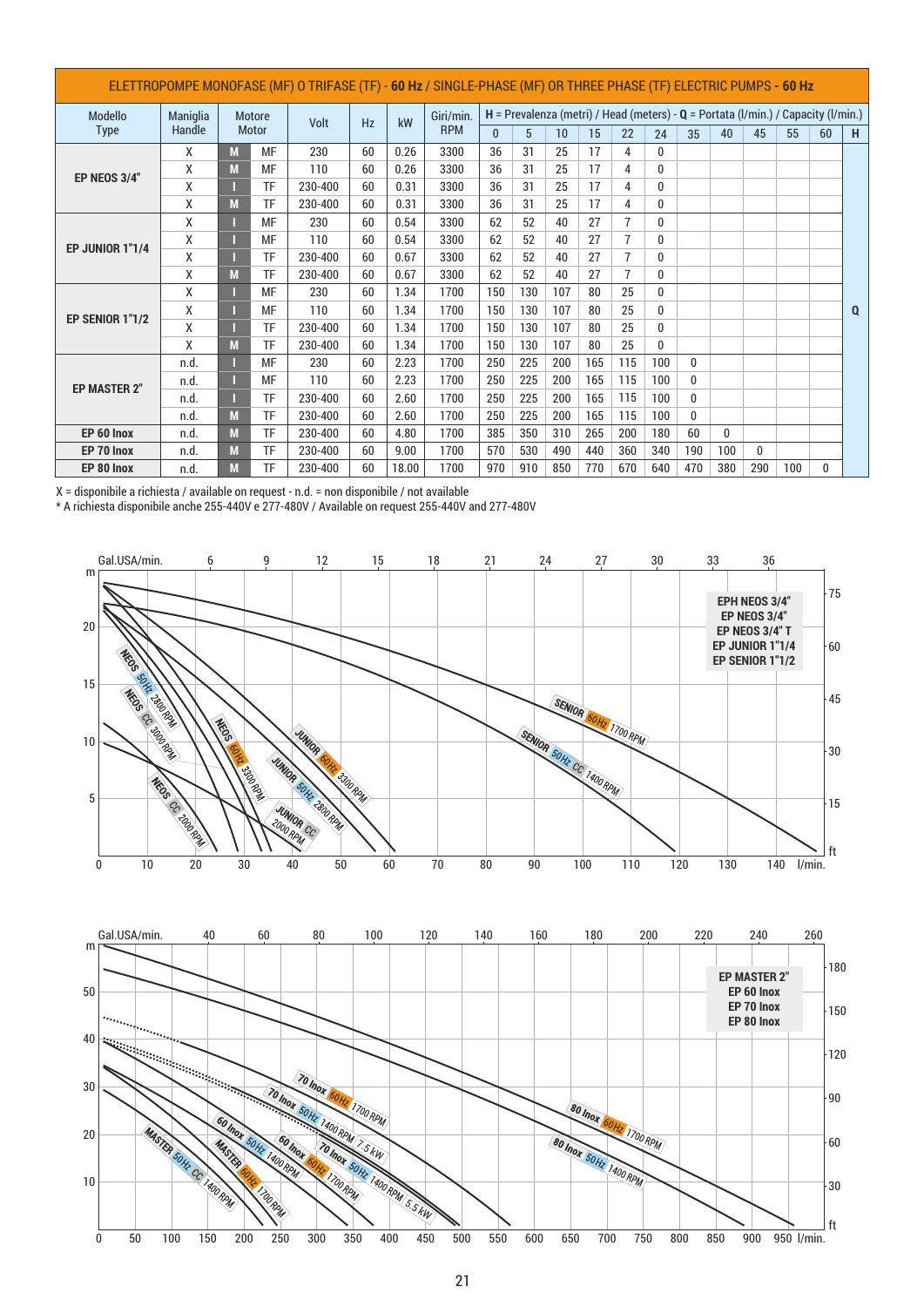|                        |          |        |           | ELETTROPOMPE MONOFASE (MF) O TRIFASE (TF) - 60 Hz / SINGLE-PHASE (MF) OR THREE PHASE (TF) ELECTRIC PUMPS - 60 Hz |    |       |            |              |     |     |     |                |              |              |          |     |     |                                                                                       |              |
|------------------------|----------|--------|-----------|------------------------------------------------------------------------------------------------------------------|----|-------|------------|--------------|-----|-----|-----|----------------|--------------|--------------|----------|-----|-----|---------------------------------------------------------------------------------------|--------------|
| Modello                | Maniglia | Motore |           | Volt                                                                                                             | Hz | kW    | Giri/min.  |              |     |     |     |                |              |              |          |     |     | $H = Prevalenza$ (metri) / Head (meters) - $Q = Portata$ (I/min.) / Capacity (I/min.) |              |
| <b>Type</b>            | Handle   |        | Motor     |                                                                                                                  |    |       | <b>RPM</b> | $\mathbf{0}$ | 5   | 10  | 15  | 22             | 24           | 35           | 40       | 45  | 55  | 60                                                                                    | H            |
|                        | X        | M      | <b>MF</b> | 230                                                                                                              | 60 | 0.26  | 3300       | 36           | 31  | 25  | 17  | 4              | $\Omega$     |              |          |     |     |                                                                                       |              |
| <b>EP NEOS 3/4"</b>    | X        | M      | <b>MF</b> | 110                                                                                                              | 60 | 0.26  | 3300       | 36           | 31  | 25  | 17  | 4              | $\bf{0}$     |              |          |     |     |                                                                                       |              |
|                        | X        |        | TF        | 230-400                                                                                                          | 60 | 0.31  | 3300       | 36           | 31  | 25  | 17  | 4              | $\bf{0}$     |              |          |     |     |                                                                                       |              |
|                        | Χ        | M      | TF        | 230-400                                                                                                          | 60 | 0.31  | 3300       | 36           | 31  | 25  | 17  | 4              | $\bf{0}$     |              |          |     |     |                                                                                       |              |
| <b>EP JUNIOR 1"1/4</b> | X        |        | <b>MF</b> | 230                                                                                                              | 60 | 0.54  | 3300       | 62           | 52  | 40  | 27  | $\overline{7}$ | $\Omega$     |              |          |     |     |                                                                                       |              |
|                        | Χ        |        | <b>MF</b> | 110                                                                                                              | 60 | 0.54  | 3300       | 62           | 52  | 40  | 27  | 7              | $\bf{0}$     |              |          |     |     |                                                                                       |              |
|                        | X        |        | TF        | 230-400                                                                                                          | 60 | 0.67  | 3300       | 62           | 52  | 40  | 27  | $\overline{7}$ | $\Omega$     |              |          |     |     |                                                                                       |              |
|                        | Χ        | M      | TF        | 230-400                                                                                                          | 60 | 0.67  | 3300       | 62           | 52  | 40  | 27  | $\overline{7}$ | $\bf{0}$     |              |          |     |     |                                                                                       |              |
|                        | X        |        | <b>MF</b> | 230                                                                                                              | 60 | 1.34  | 1700       | 150          | 130 | 107 | 80  | 25             | $\bf{0}$     |              |          |     |     |                                                                                       |              |
| <b>EP SENIOR 1"1/2</b> | Χ        |        | MF        | 110                                                                                                              | 60 | 1.34  | 1700       | 150          | 130 | 107 | 80  | 25             | $\bf{0}$     |              |          |     |     |                                                                                       | $\mathbf{0}$ |
|                        | X        |        | TF        | 230-400                                                                                                          | 60 | 1.34  | 1700       | 150          | 130 | 107 | 80  | 25             | $\mathbf{0}$ |              |          |     |     |                                                                                       |              |
|                        | X        | M      | TF        | 230-400                                                                                                          | 60 | 1.34  | 1700       | 150          | 130 | 107 | 80  | 25             | $\mathbf{0}$ |              |          |     |     |                                                                                       |              |
|                        | n.d.     |        | <b>MF</b> | 230                                                                                                              | 60 | 2.23  | 1700       | 250          | 225 | 200 | 165 | 115            | 100          | $\mathbf{0}$ |          |     |     |                                                                                       |              |
| <b>EP MASTER 2"</b>    | n.d.     |        | MF        | 110                                                                                                              | 60 | 2.23  | 1700       | 250          | 225 | 200 | 165 | 115            | 100          | $\mathbf{0}$ |          |     |     |                                                                                       |              |
|                        | n.d.     |        | TF        | 230-400                                                                                                          | 60 | 2.60  | 1700       | 250          | 225 | 200 | 165 | 115            | 100          | $\mathbf{0}$ |          |     |     |                                                                                       |              |
|                        | n.d.     | M      | TF        | 230-400                                                                                                          | 60 | 2.60  | 1700       | 250          | 225 | 200 | 165 | 115            | 100          | 0            |          |     |     |                                                                                       |              |
| EP 60 Inox             | n.d.     | M      | TF        | 230-400                                                                                                          | 60 | 4.80  | 1700       | 385          | 350 | 310 | 265 | 200            | 180          | 60           | $\bf{0}$ |     |     |                                                                                       |              |
| EP 70 Inox             | n.d.     | M      | TF        | 230-400                                                                                                          | 60 | 9.00  | 1700       | 570          | 530 | 490 | 440 | 360            | 340          | 190          | 100      | 0   |     |                                                                                       |              |
| EP 80 Inox             | n.d.     | M      | TF        | 230-400                                                                                                          | 60 | 18.00 | 1700       | 970          | 910 | 850 | 770 | 670            | 640          | 470          | 380      | 290 | 100 | 0                                                                                     |              |

X = disponibile a richiesta / available on request - n.d. = non disponibile / not available

\* A richiesta disponibile anche 255-440V e 277-480V / Available on request 255-440V and 277-480V



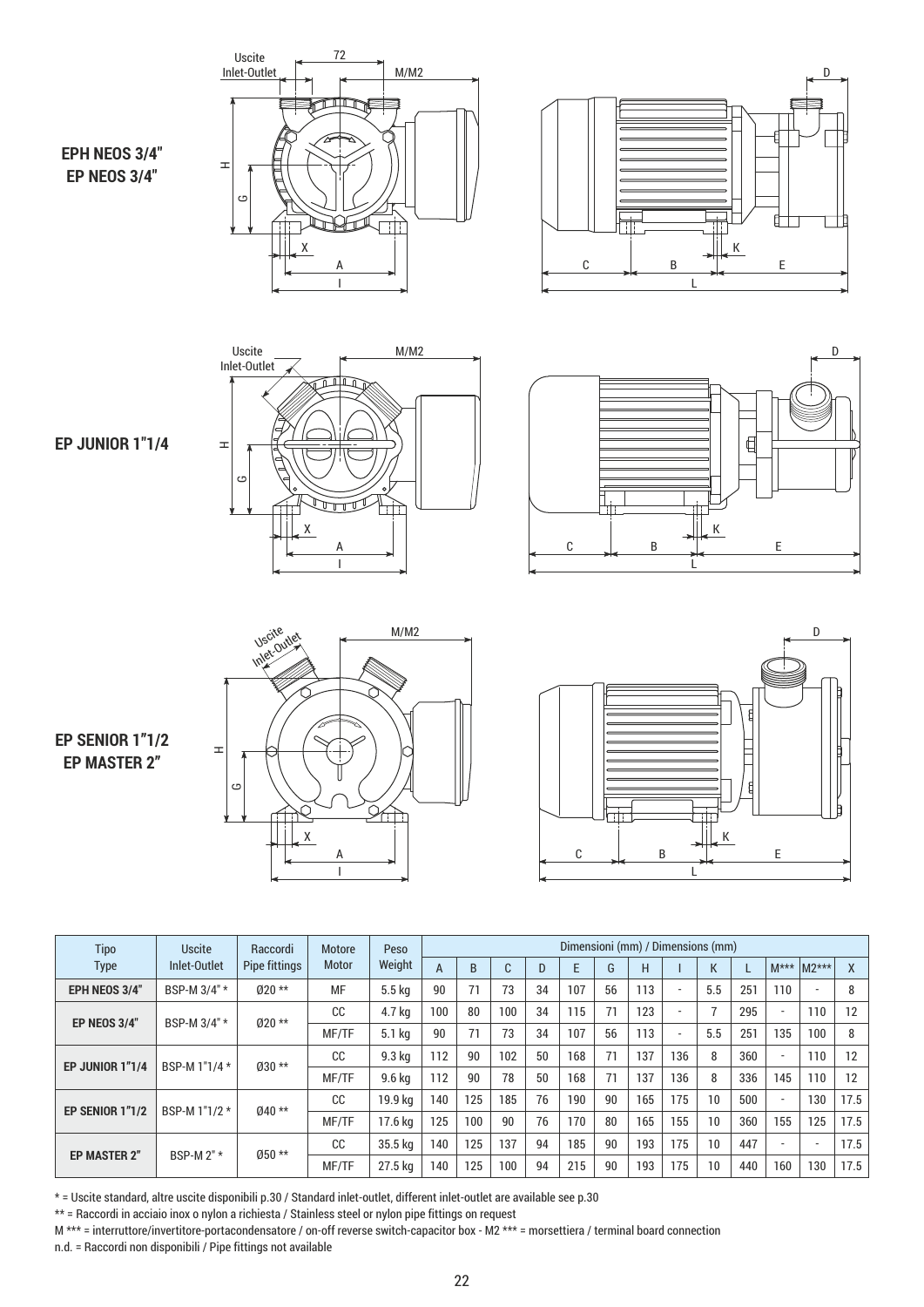

**EPH NEOS 3/4" EP NEOS 3/4"**



**EP JUNIOR 1"1/4**



## **EP SENIOR 1"1/2 EP MASTER 2"**

| Tipo<br>Uscite                      |               | Raccordi      | <b>Motore</b> | Peso             | Dimensioni (mm) / Dimensions (mm) |     |     |     |     |     |                          |                          |     |                          |                          |                          |      |  |  |
|-------------------------------------|---------------|---------------|---------------|------------------|-----------------------------------|-----|-----|-----|-----|-----|--------------------------|--------------------------|-----|--------------------------|--------------------------|--------------------------|------|--|--|
| <b>Type</b>                         | Inlet-Outlet  | Pipe fittings | Motor         | Weight           | A                                 | B   | C   | D   | E   | G   | н                        |                          | K   |                          | $M***$                   | $ M2*** $                | X    |  |  |
| EPH NEOS 3/4"                       | BSP-M 3/4" *  | $020**$       | <b>MF</b>     | $5.5 \text{ kg}$ | 90                                | 71  | 73  | 34  | 107 | 56  | 113                      | $\overline{\phantom{a}}$ | 5.5 | 251                      | 110                      | $\overline{\phantom{a}}$ | 8    |  |  |
| BSP-M 3/4" *<br><b>EP NEOS 3/4"</b> | $020**$       | CC            | 4.7 kg        | 100              | 80                                | 100 | 34  | 115 | 71  | 123 | $\overline{\phantom{a}}$ | 7                        | 295 | $\overline{\phantom{0}}$ | 110                      | 12                       |      |  |  |
|                                     |               |               | MF/TF         | $5.1$ kg         | 90                                | 71  | 73  | 34  | 107 | 56  | 113                      | $\overline{\phantom{a}}$ | 5.5 | 251                      | 135                      | 100                      | 8    |  |  |
| EP JUNIOR 1"1/4                     | BSP-M 1"1/4 * | $030**$       | cc            | $9.3$ kg         | 112                               | 90  | 102 | 50  | 168 | 71  | 137                      | 136                      | 8   | 360                      | $\overline{\phantom{0}}$ | 110                      | 12   |  |  |
|                                     |               |               | MF/TF         | 9.6 kg           | 112                               | 90  | 78  | 50  | 168 | 71  | 137                      | 136                      | 8   | 336                      | 145                      | 110                      | 12   |  |  |
| <b>EP SENIOR 1"1/2</b>              | BSP-M 1"1/2 * | $040**$       | cc            | 19.9 ka          | 140                               | 125 | 185 | 76  | 190 | 90  | 165                      | 175                      | 10  | 500                      | $\overline{\phantom{0}}$ | 130                      | 17.5 |  |  |
|                                     |               |               | MF/TF         | 17.6 kg          | 125                               | 100 | 90  | 76  | 170 | 80  | 165                      | 155                      | 10  | 360                      | 155                      | 125                      | 17.5 |  |  |
| <b>EP MASTER 2"</b>                 | BSP-M $2" *$  | $050**$       | cc            | 35.5 kg          | 140                               | 125 | 137 | 94  | 185 | 90  | 193                      | 175                      | 10  | 447                      | $\overline{\phantom{0}}$ | $\overline{\phantom{a}}$ | 17.5 |  |  |
|                                     |               |               | MF/TF         | 27.5 kg          | 140                               | 125 | 100 | 94  | 215 | 90  | 193                      | 175                      | 10  | 440                      | 160                      | 130                      | 17.5 |  |  |
|                                     |               |               |               |                  |                                   |     |     |     |     |     |                          |                          |     |                          |                          |                          |      |  |  |

\* = Uscite standard, altre uscite disponibili p.30 / Standard inlet-outlet, different inlet-outlet are available see p.30

\*\* = Raccordi in acciaio inox o nylon a richiesta / Stainless steel or nylon pipe fittings on request

M \*\*\* = interruttore/invertitore-portacondensatore / on-off reverse switch-capacitor box - M2 \*\*\* = morsettiera / terminal board connection

n.d. = Raccordi non disponibili / Pipe fittings not available